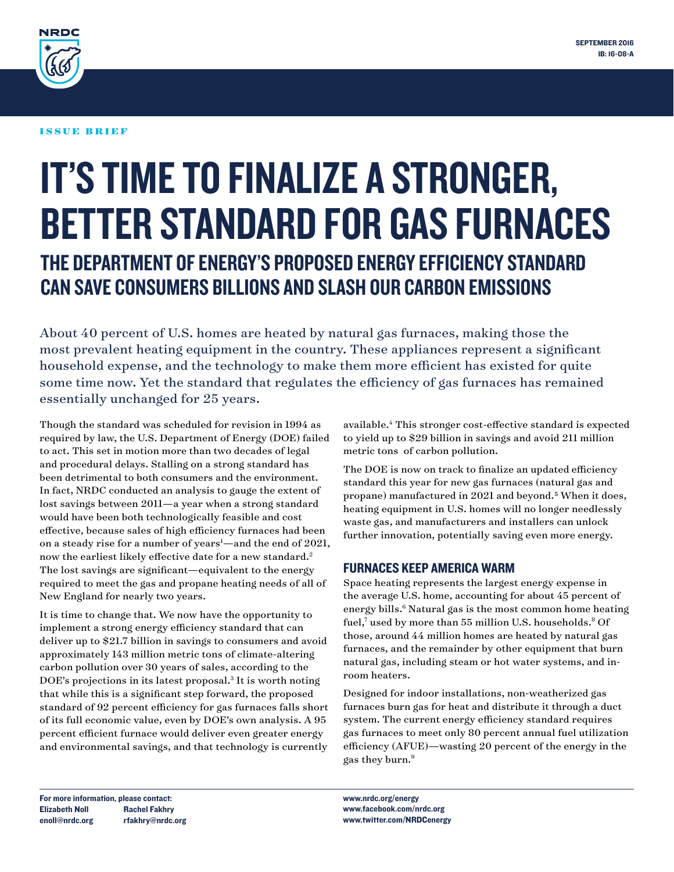

### ISSUE BRIEF

# IT'S TIME TO FINALIZE A STRONGER, BETTER STANDARD FOR GAS FURNACES THE DEPARTMENT OF ENERGY'S PROPOSED ENERGY EFFICIENCY STANDARD CAN SAVE CONSUMERS BILLIONS AND SLASH OUR CARBON EMISSIONS

About 40 percent of U.S. homes are heated by natural gas furnaces, making those the most prevalent heating equipment in the country. These appliances represent a significant household expense, and the technology to make them more efficient has existed for quite some time now. Yet the standard that regulates the efficiency of gas furnaces has remained essentially unchanged for 25 years.

Though the standard was scheduled for revision in 1994 as required by law, the U.S. Department of Energy (DOE) failed to act. This set in motion more than two decades of legal and procedural delays. Stalling on a strong standard has been detrimental to both consumers and the environment. In fact, NRDC conducted an analysis to gauge the extent of lost savings between 2011—a year when a strong standard would have been both technologically feasible and cost effective, because sales of high efficiency furnaces had been on a steady rise for a number of years<sup>1</sup>—and the end of 2021, now the earliest likely effective date for a new standard.<sup>2</sup> The lost savings are significant—equivalent to the energy required to meet the gas and propane heating needs of all of New England for nearly two years.

It is time to change that. We now have the opportunity to implement a strong energy efficiency standard that can deliver up to \$21.7 billion in savings to consumers and avoid approximately 143 million metric tons of climate-altering carbon pollution over 30 years of sales, according to the DOE's projections in its latest proposal.<sup>3</sup> It is worth noting that while this is a significant step forward, the proposed standard of 92 percent efficiency for gas furnaces falls short of its full economic value, even by DOE's own analysis. A 95 percent efficient furnace would deliver even greater energy and environmental savings, and that technology is currently

available.4 This stronger cost-effective standard is expected to yield up to \$29 billion in savings and avoid 211 million metric tons of carbon pollution.

The DOE is now on track to finalize an updated efficiency standard this year for new gas furnaces (natural gas and propane) manufactured in 2021 and beyond.5 When it does, heating equipment in U.S. homes will no longer needlessly waste gas, and manufacturers and installers can unlock further innovation, potentially saving even more energy.

### FURNACES KEEP AMERICA WARM

Space heating represents the largest energy expense in the average U.S. home, accounting for about 45 percent of energy bills.<sup>6</sup> Natural gas is the most common home heating fuel,<sup>7</sup> used by more than 55 million U.S. households.<sup>8</sup> Of those, around 44 million homes are heated by natural gas furnaces, and the remainder by other equipment that burn natural gas, including steam or hot water systems, and inroom heaters.

Designed for indoor installations, non-weatherized gas furnaces burn gas for heat and distribute it through a duct system. The current energy efficiency standard requires gas furnaces to meet only 80 percent annual fuel utilization efficiency (AFUE)—wasting 20 percent of the energy in the gas they burn.9

For more information, please contact: Elizabeth Noll enoll@nrdc.org Rachel Fakhry rfakhry@nrdc.org www.nrdc.org/energy www.facebook.com/nrdc.org www.twitter.com/NRDCenergy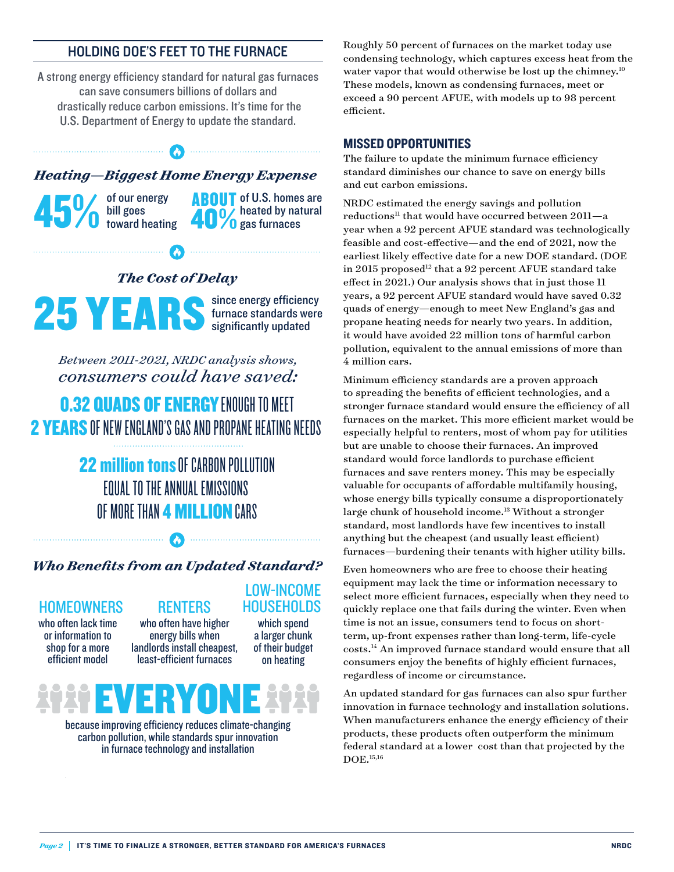## HOLDING DOE'S FEET TO THE FURNACE

A strong energy efficiency standard for natural gas furnaces can save consumers billions of dollars and drastically reduce carbon emissions. It's time for the U.S. Department of Energy to update the standard.

*Heating—Biggest Home Energy Expense* 

 $\boldsymbol{\omega}$ 

of our energy bill goes toward heating 45% of our energy<br>and the ating<br>toward heating<br> $\frac{100}{9}$  as furnaces

**Communication Communication** 

**ABOUT** of U.S. homes are

*The Cost of Delay*

25 YEARS since energy efficiency<br>significantly updated

 $\begin{minipage}{.4\linewidth} \begin{minipage}{.4\linewidth} \begin{minipage}{.4\linewidth} \end{minipage} \begin{minipage}{.4\linewidth} \begin{minipage}{.4\linewidth} \end{minipage} \end{minipage} \begin{minipage}{.4\linewidth} \begin{minipage}{.4\linewidth} \end{minipage} \end{minipage} \begin{minipage}{.4\linewidth} \begin{minipage}{.4\linewidth} \end{minipage} \end{minipage} \begin{minipage}{.4\linewidth} \begin{minipage}{.4\linewidth} \end{minipage} \end{minipage} \begin{minipage}{.4\linewidth} \begin{minipage}{.4\linewidth} \$ 

*Between 2011-2021, NRDC analysis shows, consumers could have saved:*

**0.32 QUADS OF ENERGY ENOUGH TO MEET** 2 YEARS OF NEW ENGLAND'S GAS AND PROPANE HEATING NEEDS

> **22 million tons OF CARBON POLLUTION** EQUAL TO THE ANNUAL EMISSIONS OF MORE THAN **4 MILLION** CARS

### *Who Benefits from an Updated Standard?*

 $\boldsymbol{\Omega}$ 

### HOMEOWNERS RENTERS

who often lack time or information to shop for a more efficient model

who often have higher energy bills when landlords install cheapest, least-efficient furnaces

which spend a larger chunk of their budget on heating

LOW-INCOME **HOUSEHOLDS** 

# EVERY

because improving efficiency reduces climate-changing carbon pollution, while standards spur innovation in furnace technology and installation

Roughly 50 percent of furnaces on the market today use condensing technology, which captures excess heat from the water vapor that would otherwise be lost up the chimney.<sup>10</sup> These models, known as condensing furnaces, meet or exceed a 90 percent AFUE, with models up to 98 percent efficient.

### MISSED OPPORTUNITIES

The failure to update the minimum furnace efficiency standard diminishes our chance to save on energy bills and cut carbon emissions.

NRDC estimated the energy savings and pollution  $reductions<sup>11</sup>$  that would have occurred between  $2011-a$ year when a 92 percent AFUE standard was technologically feasible and cost-effective—and the end of 2021, now the earliest likely effective date for a new DOE standard. (DOE in 2015 proposed<sup>12</sup> that a 92 percent AFUE standard take effect in 2021.) Our analysis shows that in just those 11 years, a 92 percent AFUE standard would have saved 0.32 quads of energy—enough to meet New England's gas and propane heating needs for nearly two years. In addition, it would have avoided 22 million tons of harmful carbon pollution, equivalent to the annual emissions of more than 4 million cars.

Minimum efficiency standards are a proven approach to spreading the benefits of efficient technologies, and a stronger furnace standard would ensure the efficiency of all furnaces on the market. This more efficient market would be especially helpful to renters, most of whom pay for utilities but are unable to choose their furnaces. An improved standard would force landlords to purchase efficient furnaces and save renters money. This may be especially valuable for occupants of affordable multifamily housing, whose energy bills typically consume a disproportionately large chunk of household income.<sup>13</sup> Without a stronger standard, most landlords have few incentives to install anything but the cheapest (and usually least efficient) furnaces—burdening their tenants with higher utility bills.

Even homeowners who are free to choose their heating equipment may lack the time or information necessary to select more efficient furnaces, especially when they need to quickly replace one that fails during the winter. Even when time is not an issue, consumers tend to focus on shortterm, up-front expenses rather than long-term, life-cycle costs.14 An improved furnace standard would ensure that all consumers enjoy the benefits of highly efficient furnaces, regardless of income or circumstance.

An updated standard for gas furnaces can also spur further innovation in furnace technology and installation solutions. When manufacturers enhance the energy efficiency of their products, these products often outperform the minimum federal standard at a lower cost than that projected by the DOE.15,16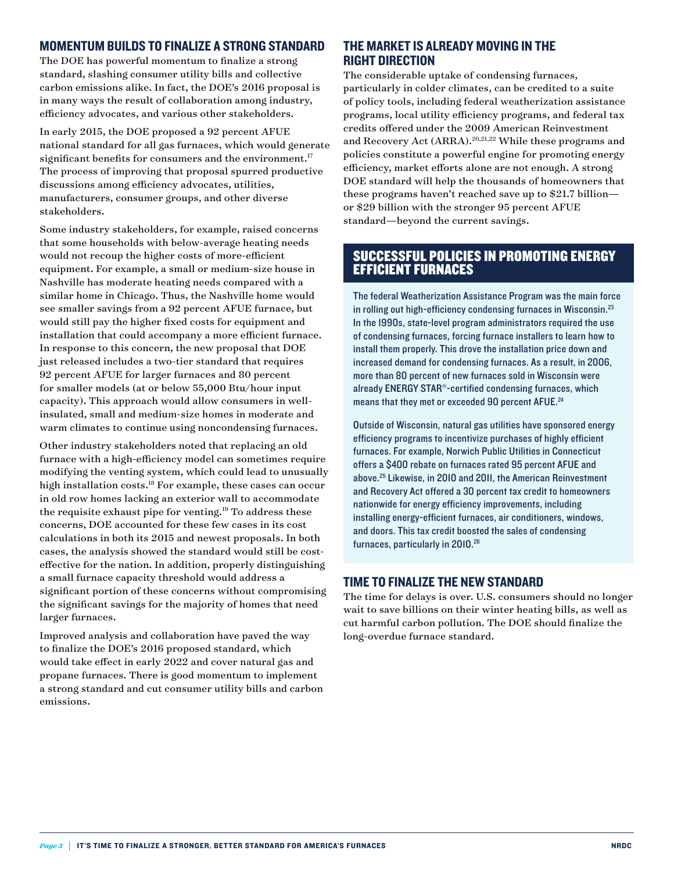### MOMENTUM BUILDS TO FINALIZE A STRONG STANDARD

The DOE has powerful momentum to finalize a strong standard, slashing consumer utility bills and collective carbon emissions alike. In fact, the DOE's 2016 proposal is in many ways the result of collaboration among industry, efficiency advocates, and various other stakeholders.

In early 2015, the DOE [proposed](https://www1.eere.energy.gov/buildings/appliance_standards/standards.aspx?productid=59&action=viewlive) a 92 percent AFUE national standard for all gas furnaces, which would generate significant benefits for consumers and the environment.<sup>17</sup> The process of improving that proposal spurred productive discussions among efficiency advocates, utilities, manufacturers, consumer groups, and other diverse stakeholders.

Some industry stakeholders, for example, raised concerns that some households with below-average heating needs would not recoup the higher costs of more-efficient equipment. For example, a small or medium-size house in Nashville has moderate heating needs compared with a similar home in Chicago. Thus, the Nashville home would see smaller savings from a 92 percent AFUE furnace, but would still pay the higher fixed costs for equipment and installation that could accompany a more efficient furnace. In response to this concern, the new proposal that DOE just released includes a two-tier standard that requires 92 percent AFUE for larger furnaces and 80 percent for smaller models (at or below 55,000 Btu/hour input capacity). This approach would allow consumers in wellinsulated, small and medium-size homes in moderate and warm climates to continue using noncondensing furnaces.

Other industry stakeholders noted that replacing an old furnace with a high-efficiency model can sometimes require modifying the venting system, which could lead to unusually high installation costs.18 For example, [these cases](http://www.appliance-standards.org/sites/default/files/NRDC Furnace NOPR Comments 10Jul15.pdf) can occur in old row homes lacking an exterior wall to accommodate the requisite exhaust pipe for venting.<sup>19</sup> To address these concerns, DOE accounted for these few cases in its cost calculations in both its 2015 and newest proposals. In both cases, the analysis showed the standard would still be costeffective for the nation. In addition, properly distinguishing a small furnace capacity threshold would address a significant portion of these concerns without compromising the significant savings for the majority of homes that need larger furnaces.

Improved analysis and collaboration have paved the way to finalize the DOE's 2016 proposed standard, which would take effect in early 2022 and cover natural gas and propane furnaces. There is good momentum to implement a strong standard and cut consumer utility bills and carbon emissions.

### THE MARKET IS ALREADY MOVING IN THE RIGHT DIRECTION

The considerable uptake of condensing furnaces, particularly in colder climates, can be credited to a suite of policy tools, including federal [weatherization assistance](http://energy.gov/eere/wipo/weatherization-assistance-program)  [programs,](http://energy.gov/eere/wipo/weatherization-assistance-program) local [utility efficiency programs](http://aceee.org/topics/energy-efficiency-programs-utility-customers), and federal tax credits offered under the [2009 American Reinvestment](https://en.wikipedia.org/wiki/American_Recovery_and_Reinvestment_Act_of_2009)  [and Recovery Act](https://en.wikipedia.org/wiki/American_Recovery_and_Reinvestment_Act_of_2009) (ARRA).20,21,22 While these programs and policies constitute a powerful engine for promoting energy efficiency, market efforts alone are not enough. A strong DOE standard will help the thousands of homeowners that these programs haven't reached save up to \$21.7 billion or \$29 billion with the stronger 95 percent AFUE standard—beyond the current savings.

### SUCCESSFUL POLICIES IN PROMOTING ENERGY EFFICIENT FURNACES

The federal Weatherization Assistance Program was the main force in rolling out high-efficiency condensing furnaces in Wisconsin.23 In the 1990s, state-level program administrators required the use of condensing furnaces, forcing furnace installers to learn how to install them properly. This drove the installation price down and increased demand for condensing furnaces. As a result, in 2006, more than 80 percent of new furnaces sold in Wisconsin were already [ENERGY STAR®](https://www.energystar.gov/products/heating_cooling/furnaces/key_product_criteria)-certified condensing furnaces, which means that they met or exceeded 90 percent AFUE.<sup>24</sup>

Outside of Wisconsin, natural gas utilities have sponsored energy efficiency programs to incentivize purchases of highly efficient furnaces. For example, Norwich Public Utilities in Connecticut offers a \$400 rebate on furnaces rated 95 percent AFUE and above.25 Likewise, in 2010 and 2011, the American Reinvestment and Recovery Act offered a 30 percent tax credit to homeowners nationwide for energy efficiency improvements, including installing energy-efficient furnaces, air conditioners, windows, and doors. This tax credit boosted the sales of condensing furnaces, particularly in 2010.<sup>26</sup>

### TIME TO FINALIZE THE NEW STANDARD

The time for delays is over. U.S. consumers should no longer wait to save billions on their winter heating bills, as well as cut harmful carbon pollution. The DOE should finalize the long-overdue furnace standard.